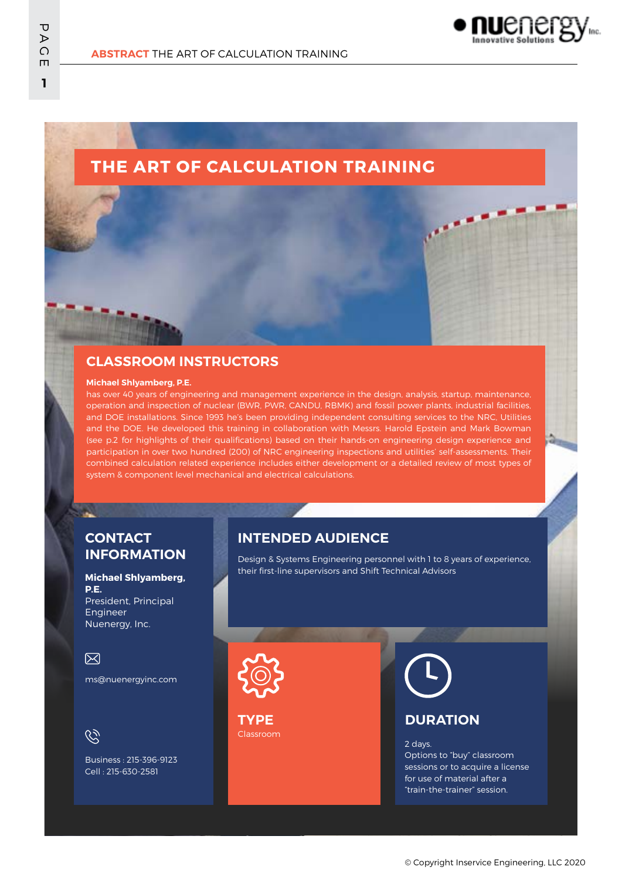

# **THE ART OF CALCULATION TRAINING**

### **CLASSROOM INSTRUCTORS**

#### **Michael Shlyamberg, P.E.**

has over 40 years of engineering and management experience in the design, analysis, startup, maintenance, operation and inspection of nuclear (BWR, PWR, CANDU, RBMK) and fossil power plants, industrial facilities, and DOE installations. Since 1993 he's been providing independent consulting services to the NRC, Utilities and the DOE. He developed this training in collaboration with Messrs. Harold Epstein and Mark Bowman (see p.2 for highlights of their qualifications) based on their hands-on engineering design experience and participation in over two hundred (200) of NRC engineering inspections and utilities' self-assessments. Their combined calculation related experience includes either development or a detailed review of most types of system & component level mechanical and electrical calculations.

#### **CONTACT INFORMATION**

#### **Michael Shlyamberg, P.E.**

President, Principal Engineer Nuenergy, Inc.

#### 冈

ms@nuenergyinc.com

 $\mathscr{C}$ 

Business : 215-396-9123 Cell : 215-630-2581

#### **INTENDED AUDIENCE**

Design & Systems Engineering personnel with 1 to 8 years of experience, their first-line supervisors and Shift Technical Advisors



Classroom **TYPE**



#### **DURATION**

2 days. Options to "buy" classroom sessions or to acquire a license for use of material after a "train-the-trainer" session.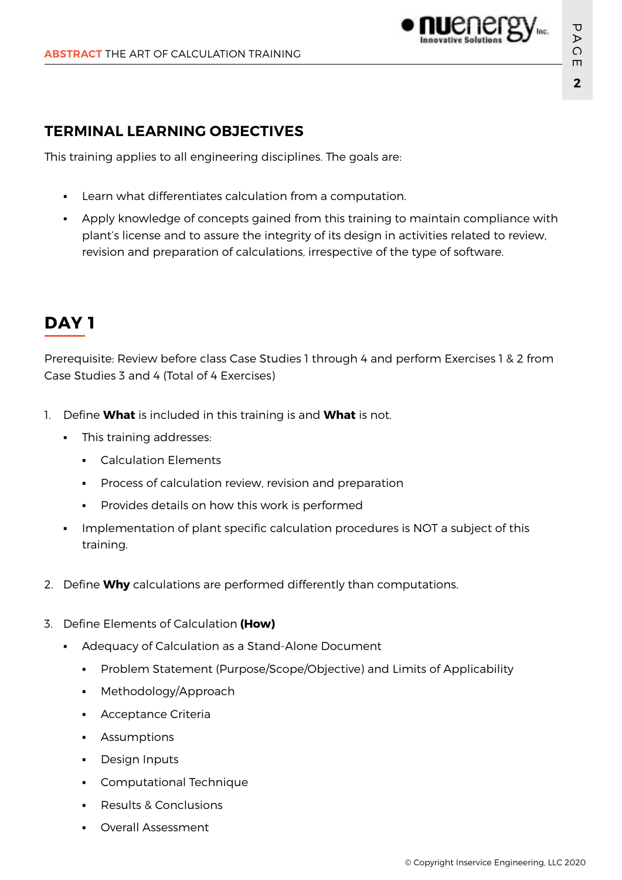### **TERMINAL LEARNING OBJECTIVES**

This training applies to all engineering disciplines. The goals are:

- Learn what differentiates calculation from a computation.
- Apply knowledge of concepts gained from this training to maintain compliance with plant's license and to assure the integrity of its design in activities related to review, revision and preparation of calculations, irrespective of the type of software.

## **DAY 1**

Prerequisite: Review before class Case Studies 1 through 4 and perform Exercises 1 & 2 from Case Studies 3 and 4 (Total of 4 Exercises)

- 1. Define **What** is included in this training is and **What** is not.
	- This training addresses:
		- Calculation Elements
		- Process of calculation review, revision and preparation
		- Provides details on how this work is performed
	- Implementation of plant specific calculation procedures is NOT a subject of this training.
- 2. Define **Why** calculations are performed differently than computations.
- 3. Define Elements of Calculation **(How)**
	- Adequacy of Calculation as a Stand-Alone Document
		- **•** Problem Statement (Purpose/Scope/Objective) and Limits of Applicability
		- Methodology/Approach
		- Acceptance Criteria
		- **•** Assumptions
		- **Design Inputs**
		- Computational Technique
		- **Results & Conclusions**
		- **Overall Assessment**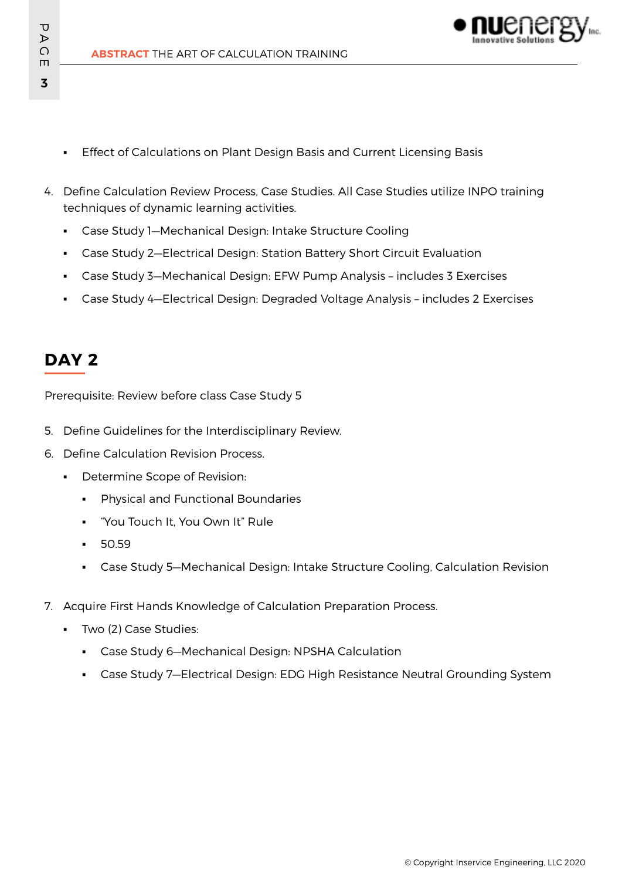**ABSTRACT** THE ART OF CALCULATION TRAINING

- **Effect of Calculations on Plant Design Basis and Current Licensing Basis**
- 4. Define Calculation Review Process, Case Studies. All Case Studies utilize INPO training techniques of dynamic learning activities.
	- Case Study 1—Mechanical Design: Intake Structure Cooling
	- Case Study 2—Electrical Design: Station Battery Short Circuit Evaluation
	- Case Study 3—Mechanical Design: EFW Pump Analysis includes 3 Exercises
	- Case Study 4—Electrical Design: Degraded Voltage Analysis includes 2 Exercises

## **DAY 2**

Prerequisite: Review before class Case Study 5

- 5. Define Guidelines for the Interdisciplinary Review.
- 6. Define Calculation Revision Process.
	- Determine Scope of Revision:
		- Physical and Functional Boundaries
		- "You Touch It, You Own It" Rule
		- 50.59
		- Case Study 5-Mechanical Design: Intake Structure Cooling, Calculation Revision
- 7. Acquire First Hands Knowledge of Calculation Preparation Process.
	- Two (2) Case Studies:
		- Case Study 6—Mechanical Design: NPSHA Calculation
		- Case Study 7—Electrical Design: EDG High Resistance Neutral Grounding System